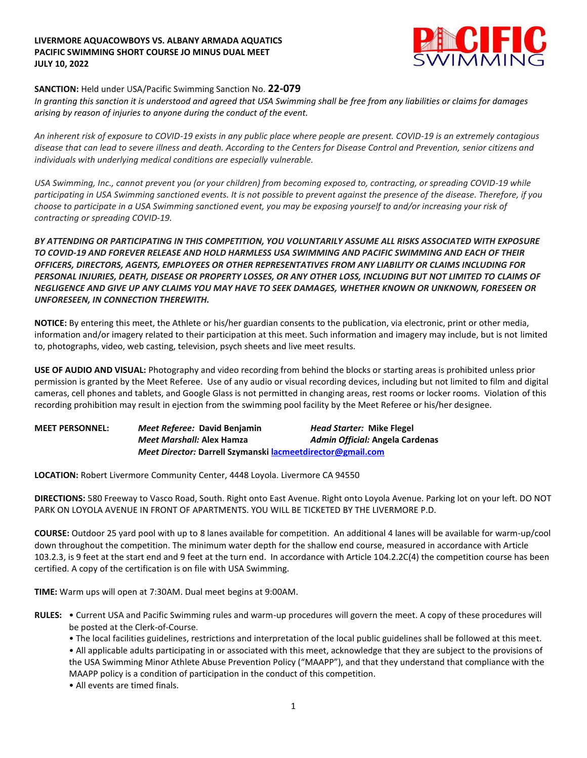## **LIVERMORE AQUACOWBOYS VS. ALBANY ARMADA AQUATICS PACIFIC SWIMMING SHORT COURSE JO MINUS DUAL MEET JULY 10, 2022**



## **SANCTION:** Held under USA/Pacific Swimming Sanction No. **22-079**

*In granting this sanction it is understood and agreed that USA Swimming shall be free from any liabilities or claims for damages arising by reason of injuries to anyone during the conduct of the event.*

*An inherent risk of exposure to COVID-19 exists in any public place where people are present. COVID-19 is an extremely contagious disease that can lead to severe illness and death. According to the Centers for Disease Control and Prevention, senior citizens and individuals with underlying medical conditions are especially vulnerable.*

*USA Swimming, Inc., cannot prevent you (or your children) from becoming exposed to, contracting, or spreading COVID-19 while participating in USA Swimming sanctioned events. It is not possible to prevent against the presence of the disease. Therefore, if you choose to participate in a USA Swimming sanctioned event, you may be exposing yourself to and/or increasing your risk of contracting or spreading COVID-19.*

*BY ATTENDING OR PARTICIPATING IN THIS COMPETITION, YOU VOLUNTARILY ASSUME ALL RISKS ASSOCIATED WITH EXPOSURE TO COVID-19 AND FOREVER RELEASE AND HOLD HARMLESS USA SWIMMING AND PACIFIC SWIMMING AND EACH OF THEIR OFFICERS, DIRECTORS, AGENTS, EMPLOYEES OR OTHER REPRESENTATIVES FROM ANY LIABILITY OR CLAIMS INCLUDING FOR PERSONAL INJURIES, DEATH, DISEASE OR PROPERTY LOSSES, OR ANY OTHER LOSS, INCLUDING BUT NOT LIMITED TO CLAIMS OF NEGLIGENCE AND GIVE UP ANY CLAIMS YOU MAY HAVE TO SEEK DAMAGES, WHETHER KNOWN OR UNKNOWN, FORESEEN OR UNFORESEEN, IN CONNECTION THEREWITH.*

**NOTICE:** By entering this meet, the Athlete or his/her guardian consents to the publication, via electronic, print or other media, information and/or imagery related to their participation at this meet. Such information and imagery may include, but is not limited to, photographs, video, web casting, television, psych sheets and live meet results.

**USE OF AUDIO AND VISUAL:** Photography and video recording from behind the blocks or starting areas is prohibited unless prior permission is granted by the Meet Referee. Use of any audio or visual recording devices, including but not limited to film and digital cameras, cell phones and tablets, and Google Glass is not permitted in changing areas, rest rooms or locker rooms. Violation of this recording prohibition may result in ejection from the swimming pool facility by the Meet Referee or his/her designee.

**MEET PERSONNEL:** *Meet Referee:* **David Benjamin** *Head Starter:* **Mike Flegel**  *Meet Marshall:* **Alex Hamza** *Admin Official:* **Angela Cardenas**  *Meet Director:* **Darrell Szymanski [lacmeetdirector@gmail.com](mailto:lacmeetdirector@gmail.com)**

**LOCATION:** Robert Livermore Community Center, 4448 Loyola. Livermore CA 94550

**DIRECTIONS:** 580 Freeway to Vasco Road, South. Right onto East Avenue. Right onto Loyola Avenue. Parking lot on your left. DO NOT PARK ON LOYOLA AVENUE IN FRONT OF APARTMENTS. YOU WILL BE TICKETED BY THE LIVERMORE P.D.

**COURSE:** Outdoor 25 yard pool with up to 8 lanes available for competition. An additional 4 lanes will be available for warm-up/cool down throughout the competition. The minimum water depth for the shallow end course, measured in accordance with Article 103.2.3, is 9 feet at the start end and 9 feet at the turn end. In accordance with Article 104.2.2C(4) the competition course has been certified. A copy of the certification is on file with USA Swimming.

**TIME:** Warm ups will open at 7:30AM. Dual meet begins at 9:00AM.

- **RULES:** Current USA and Pacific Swimming rules and warm-up procedures will govern the meet. A copy of these procedures will be posted at the Clerk-of-Course.
	- The local facilities guidelines, restrictions and interpretation of the local public guidelines shall be followed at this meet.
	- All applicable adults participating in or associated with this meet, acknowledge that they are subject to the provisions of the USA Swimming Minor Athlete Abuse Prevention Policy ("MAAPP"), and that they understand that compliance with the MAAPP policy is a condition of participation in the conduct of this competition.
	- All events are timed finals.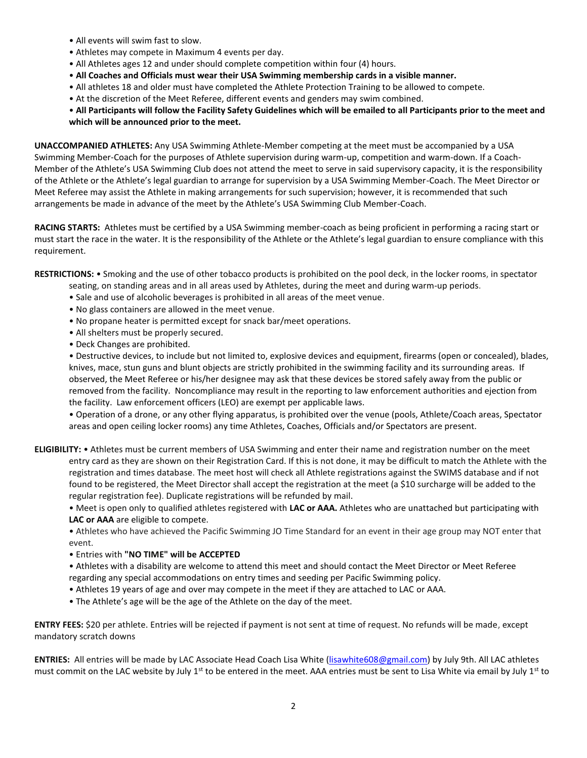- All events will swim fast to slow.
- Athletes may compete in Maximum 4 events per day.
- All Athletes ages 12 and under should complete competition within four (4) hours.
- **All Coaches and Officials must wear their USA Swimming membership cards in a visible manner.**
- All athletes 18 and older must have completed the Athlete Protection Training to be allowed to compete.
- At the discretion of the Meet Referee, different events and genders may swim combined.

## • **All Participants will follow the Facility Safety Guidelines which will be emailed to all Participants prior to the meet and which will be announced prior to the meet.**

**UNACCOMPANIED ATHLETES:** Any USA Swimming Athlete-Member competing at the meet must be accompanied by a USA Swimming Member-Coach for the purposes of Athlete supervision during warm-up, competition and warm-down. If a Coach-Member of the Athlete's USA Swimming Club does not attend the meet to serve in said supervisory capacity, it is the responsibility of the Athlete or the Athlete's legal guardian to arrange for supervision by a USA Swimming Member-Coach. The Meet Director or Meet Referee may assist the Athlete in making arrangements for such supervision; however, it is recommended that such arrangements be made in advance of the meet by the Athlete's USA Swimming Club Member-Coach.

**RACING STARTS:** Athletes must be certified by a USA Swimming member-coach as being proficient in performing a racing start or must start the race in the water. It is the responsibility of the Athlete or the Athlete's legal guardian to ensure compliance with this requirement.

**RESTRICTIONS:** • Smoking and the use of other tobacco products is prohibited on the pool deck, in the locker rooms, in spectator

- seating, on standing areas and in all areas used by Athletes, during the meet and during warm-up periods.
- Sale and use of alcoholic beverages is prohibited in all areas of the meet venue.
- No glass containers are allowed in the meet venue.
- No propane heater is permitted except for snack bar/meet operations.
- All shelters must be properly secured.
- Deck Changes are prohibited.

• Destructive devices, to include but not limited to, explosive devices and equipment, firearms (open or concealed), blades, knives, mace, stun guns and blunt objects are strictly prohibited in the swimming facility and its surrounding areas. If observed, the Meet Referee or his/her designee may ask that these devices be stored safely away from the public or removed from the facility. Noncompliance may result in the reporting to law enforcement authorities and ejection from the facility. Law enforcement officers (LEO) are exempt per applicable laws.

• Operation of a drone, or any other flying apparatus, is prohibited over the venue (pools, Athlete/Coach areas, Spectator areas and open ceiling locker rooms) any time Athletes, Coaches, Officials and/or Spectators are present.

**ELIGIBILITY:** • Athletes must be current members of USA Swimming and enter their name and registration number on the meet entry card as they are shown on their Registration Card. If this is not done, it may be difficult to match the Athlete with the registration and times database. The meet host will check all Athlete registrations against the SWIMS database and if not found to be registered, the Meet Director shall accept the registration at the meet (a \$10 surcharge will be added to the regular registration fee). Duplicate registrations will be refunded by mail.

• Meet is open only to qualified athletes registered with **LAC or AAA.** Athletes who are unattached but participating with **LAC or AAA** are eligible to compete.

• Athletes who have achieved the Pacific Swimming JO Time Standard for an event in their age group may NOT enter that event.

• Entries with **"NO TIME" will be ACCEPTED** 

• Athletes with a disability are welcome to attend this meet and should contact the Meet Director or Meet Referee regarding any special accommodations on entry times and seeding per Pacific Swimming policy.

- Athletes 19 years of age and over may compete in the meet if they are attached to LAC or AAA.
- The Athlete's age will be the age of the Athlete on the day of the meet.

**ENTRY FEES:** \$20 per athlete. Entries will be rejected if payment is not sent at time of request. No refunds will be made, except mandatory scratch downs

**ENTRIES:** All entries will be made by LAC Associate Head Coach Lisa White [\(lisawhite608@gmail.com\)](mailto:lisawhite608@gmail.com) by July 9th. All LAC athletes must commit on the LAC website by July 1<sup>st</sup> to be entered in the meet. AAA entries must be sent to Lisa White via email by July 1<sup>st</sup> to